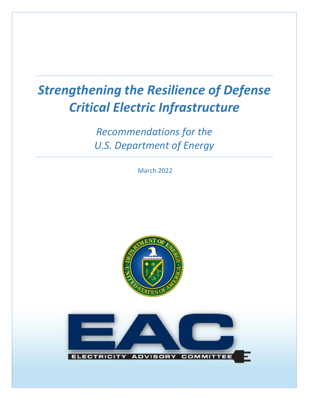# *Strengthening the Resilience of Defense Critical Electric Infrastructure*

*Recommendations for the U.S. Department of Energy*

March 2022



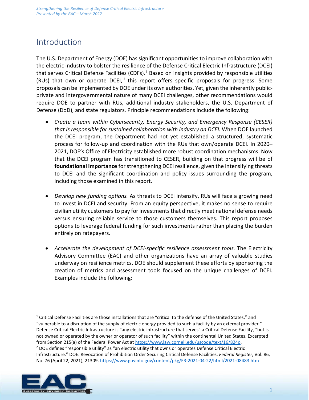# Introduction

The U.S. Department of Energy (DOE) has significant opportunities to improve collaboration with the electric industry to bolster the resilience of the Defense Critical Electric Infrastructure (DCEI) that serves Critical Defense Facilities (CDFs).<sup>[1](#page-1-0)</sup> Based on insights provided by responsible utilities (RUs) that own or operate DCEI,<sup>[2](#page-1-1)</sup> this report offers specific proposals for progress. Some proposals can be implemented by DOE under its own authorities. Yet, given the inherently publicprivate and intergovernmental nature of many DCEI challenges, other recommendations would require DOE to partner with RUs, additional industry stakeholders, the U.S. Department of Defense (DoD), and state regulators. Principle recommendations include the following:

- *Create a team within Cybersecurity, Energy Security, and Emergency Response (CESER) that is responsible for sustained collaboration with industry on DCEI.* When DOE launched the DCEI program, the Department had not yet established a structured, systematic process for follow-up and coordination with the RUs that own/operate DCEI. In 2020– 2021, DOE's Office of Electricity established more robust coordination mechanisms. Now that the DCEI program has transitioned to CESER, building on that progress will be of **foundational importance** for strengthening DCEI resilience, given the intensifying threats to DCEI and the significant coordination and policy issues surrounding the program, including those examined in this report.
- *Develop new funding options.* As threats to DCEI intensify, RUs will face a growing need to invest in DCEI and security. From an equity perspective, it makes no sense to require civilian utility customers to pay for investments that directly meet national defense needs versus ensuring reliable service to those customers themselves. This report proposes options to leverage federal funding for such investments rather than placing the burden entirely on ratepayers.
- *Accelerate the development of DCEI-specific resilience assessment tools.* The Electricity Advisory Committee (EAC) and other organizations have an array of valuable studies underway on resilience metrics. DOE should supplement these efforts by sponsoring the creation of metrics and assessment tools focused on the unique challenges of DCEI. Examples include the following:

<span id="page-1-1"></span>No. 76 (April 22, 2021), 21309[. https://www.govinfo.gov/content/pkg/FR-2021-04-22/html/2021-08483.htm](https://www.govinfo.gov/content/pkg/FR-2021-04-22/html/2021-08483.htm)



<span id="page-1-0"></span> $1$  Critical Defense Facilities are those installations that are "critical to the defense of the United States," and "vulnerable to a disruption of the supply of electric energy provided to such a facility by an external provider." Defense Critical Electric Infrastructure is "any electric infrastructure that serves" a Critical Defense Facility, "but is not owned or operated by the owner or operator of such facility" within the continental United States. Excerpted from Section 215(a) of the Federal Power Act at [https://www.law.cornell.edu/uscode/text/16/824o.](https://www.law.cornell.edu/uscode/text/16/824o)<br><sup>2</sup> DOE defines "responsible utility" as "an electric utility that owns or operates Defense Critical Electric Infrastructure." DOE. Revocation of Prohibition Order Securing Critical Defense Facilities. *Federal Register*, Vol. 86,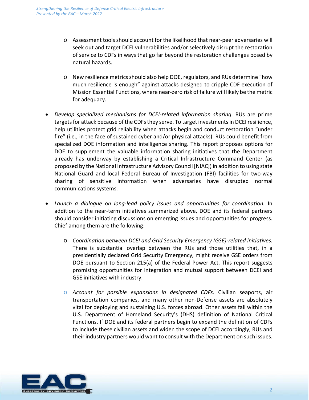- o Assessment tools should account for the likelihood that near-peer adversaries will seek out and target DCEI vulnerabilities and/or selectively disrupt the restoration of service to CDFs in ways that go far beyond the restoration challenges posed by natural hazards.
- o New resilience metrics should also help DOE, regulators, and RUs determine "how much resilience is enough" against attacks designed to cripple CDF execution of Mission Essential Functions, where near-zero risk of failure will likely be the metric for adequacy.
- *Develop specialized mechanisms for DCEI-related information sharing*. RUs are prime targets for attack because of the CDFs they serve. To target investments in DCEI resilience, help utilities protect grid reliability when attacks begin and conduct restoration "under fire" (i.e., in the face of sustained cyber and/or physical attacks). RUs could benefit from specialized DOE information and intelligence sharing. This report proposes options for DOE to supplement the valuable information sharing initiatives that the Department already has underway by establishing a Critical Infrastructure Command Center (as proposed by the National Infrastructure Advisory Council [NIAC]) in addition to using state National Guard and local Federal Bureau of Investigation (FBI) facilities for two-way sharing of sensitive information when adversaries have disrupted normal communications systems.
- *Launch a dialogue on long-lead policy issues and opportunities for coordination.* In addition to the near-term initiatives summarized above, DOE and its federal partners should consider initiating discussions on emerging issues and opportunities for progress. Chief among them are the following:
	- o *Coordination between DCEI and Grid Security Emergency (GSE)-related initiatives.*  There is substantial overlap between the RUs and those utilities that, in a presidentially declared Grid Security Emergency, might receive GSE orders from DOE pursuant to Section 215(a) of the Federal Power Act. This report suggests promising opportunities for integration and mutual support between DCEI and GSE initiatives with industry.
	- o *Account for possible expansions in designated CDFs.* Civilian seaports, air transportation companies, and many other non-Defense assets are absolutely vital for deploying and sustaining U.S. forces abroad. Other assets fall within the U.S. Department of Homeland Security's (DHS) definition of National Critical Functions. If DOE and its federal partners begin to expand the definition of CDFs to include these civilian assets and widen the scope of DCEI accordingly, RUs and their industry partners would want to consult with the Department on such issues.

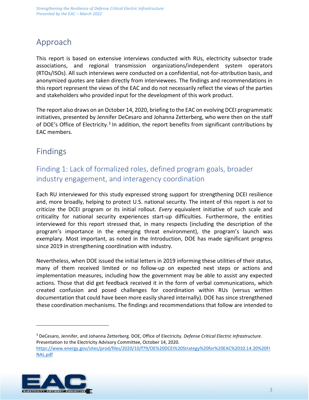# Approach

This report is based on extensive interviews conducted with RUs, electricity subsector trade associations, and regional transmission organizations/independent system operators (RTOs/ISOs). All such interviews were conducted on a confidential, not-for-attribution basis, and anonymized quotes are taken directly from interviewees. The findings and recommendations in this report represent the views of the EAC and do not necessarily reflect the views of the parties and stakeholders who provided input for the development of this work product.

The report also draws on an October 14, 2020, briefing to the EAC on evolving DCEI programmatic initiatives, presented by Jennifer DeCesaro and Johanna Zetterberg, who were then on the staff of DOE's Office of Electricity.<sup>[3](#page-3-0)</sup> In addition, the report benefits from significant contributions by EAC members.

# Findings

### Finding 1: Lack of formalized roles, defined program goals, broader industry engagement, and interagency coordination

Each RU interviewed for this study expressed strong support for strengthening DCEI resilience and, more broadly, helping to protect U.S. national security. The intent of this report is *not* to criticize the DCEI program or its initial rollout. *Every* equivalent initiative of such scale and criticality for national security experiences start-up difficulties. Furthermore, the entities interviewed for this report stressed that, in many respects (including the description of the program's importance in the emerging threat environment), the program's launch was exemplary. Most important, as noted in the Introduction, DOE has made significant progress since 2019 in strengthening coordination with industry.

Nevertheless, when DOE issued the initial letters in 2019 informing these utilities of their status, many of them received limited or no follow-up on expected next steps or actions and implementation measures, including how the government may be able to assist any expected actions. Those that did get feedback received it in the form of verbal communications, which created confusion and posed challenges for coordination within RUs (versus written documentation that could have been more easily shared internally). DOE has since strengthened these coordination mechanisms. The findings and recommendations that follow are intended to

<span id="page-3-0"></span><sup>3</sup> DeCesaro, Jennifer, and Johanna Zetterberg. DOE, Office of Electricity. *Defense Critical Electric Infrastructure*. Presentation to the Electricity Advisory Committee, October 14, 2020. [https://www.energy.gov/sites/prod/files/2020/10/f79/OE%20DCEI%20Strategy%20for%20EAC%2010.14.20%20FI](https://www.energy.gov/sites/prod/files/2020/10/f79/OE%20DCEI%20Strategy%20for%20EAC%2010.14.20%20FINAL.pdf) [NAL.pdf](https://www.energy.gov/sites/prod/files/2020/10/f79/OE%20DCEI%20Strategy%20for%20EAC%2010.14.20%20FINAL.pdf)

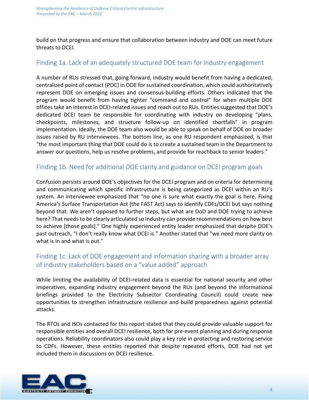build on that progress and ensure that collaboration between industry and DOE can meet future threats to DCEI.

### Finding 1a. Lack of an adequately structured DOE team for industry engagement

A number of RUs stressed that, going forward, industry would benefit from having a dedicated, centralized point of contact (POC) in DOE for sustained coordination, which could authoritatively represent DOE on emerging issues and consensus-building efforts. Others indicated that the program would benefit from having tighter "command and control" for when multiple DOE offices take an interest in DCEI-related issues and reach out to RUs. Entities suggested that DOE's dedicated DCEI team be responsible for coordinating with industry on developing "plans, checkpoints, milestones, and structure follow-up on identified shortfalls" in program implementation. Ideally, the DOE team also would be able to speak on behalf of DOE on broader issues raised by RU interviewees. The bottom line, as one RU respondent emphasized, is that "the most important thing that DOE could do is to create a sustained team in the Department to answer our questions, help us resolve problems, and provide for reachback to senior leaders."

#### Finding 1b. Need for additional DOE clarity and guidance on DCEI program goals

Confusion persists around DOE's objectives for the DCEI program and on criteria for determining and communicating which specific infrastructure is being categorized as DCEI within an RU's system. An interviewee emphasized that "no one is sure what exactly the goal is here. Fixing America's Surface Transportation Act (the FAST Act) says to identify CDFs/DCEI but says nothing beyond that. We aren't opposed to further steps, but what are DoD and DOE trying to achieve here? That needs to be clearly articulated so industry can provide recommendations on how best to achieve [those goals]." One highly experienced entity leader emphasized that despite DOE's past outreach, "I don't really know what DCEI is." Another stated that "we need more clarity on what is in and what is out."

### Finding 1c. Lack of DOE engagement and information sharing with a broader array of industry stakeholders based on a "value added" approach

While limiting the availability of DCEI-related data is essential for national security and other imperatives, expanding industry engagement beyond the RUs (and beyond the informational briefings provided to the Electricity Subsector Coordinating Council) could create new opportunities to strengthen infrastructure resilience and build preparedness against potential attacks.

The RTOs and ISOs contacted for this report stated that they could provide valuable support for responsible entities and overall DCEI resilience, both for pre-event planning and during response operations. Reliability coordinators also could play a key role in protecting and restoring service to CDFs. However, these entities reported that despite repeated efforts, DOE had not yet included them in discussions on DCEI resilience.

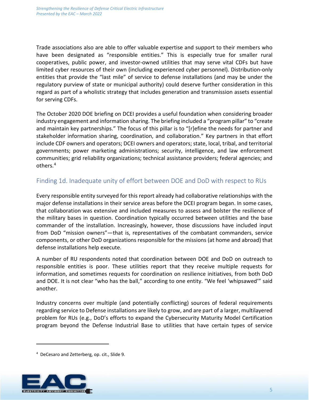Trade associations also are able to offer valuable expertise and support to their members who have been designated as "responsible entities." This is especially true for smaller rural cooperatives, public power, and investor-owned utilities that may serve vital CDFs but have limited cyber resources of their own (including experienced cyber personnel). Distribution-only entities that provide the "last mile" of service to defense installations (and may be under the regulatory purview of state or municipal authority) could deserve further consideration in this regard as part of a wholistic strategy that includes generation and transmission assets essential for serving CDFs.

The October 2020 DOE briefing on DCEI provides a useful foundation when considering broader industry engagement and information sharing. The briefing included a "program pillar" to "create and maintain key partnerships." The focus of this pillar is to "[r]efine the needs for partner and stakeholder information sharing, coordination, and collaboration." Key partners in that effort include CDF owners and operators; DCEI owners and operators; state, local, tribal, and territorial governments; power marketing administrations; security, intelligence, and law enforcement communities; grid reliability organizations; technical assistance providers; federal agencies; and others.[4](#page-5-0)

#### Finding 1d. Inadequate unity of effort between DOE and DoD with respect to RUs

Every responsible entity surveyed for this report already had collaborative relationships with the major defense installations in their service areas before the DCEI program began. In some cases, that collaboration was extensive and included measures to assess and bolster the resilience of the military bases in question. Coordination typically occurred between utilities and the base commander of the installation. Increasingly, however, those discussions have included input from DoD "mission owners"—that is, representatives of the combatant commanders, service components, or other DoD organizations responsible for the missions (at home and abroad) that defense installations help execute.

A number of RU respondents noted that coordination between DOE and DoD on outreach to responsible entities is poor. These utilities report that they receive multiple requests for information, and sometimes requests for coordination on resilience initiatives, from both DoD and DOE. It is not clear "who has the ball," according to one entity. "We feel 'whipsawed'" said another.

Industry concerns over multiple (and potentially conflicting) sources of federal requirements regarding service to Defense installations are likely to grow, and are part of a larger, multilayered problem for RUs (e.g., DoD's efforts to expand the Cybersecurity Maturity Model Certification program beyond the Defense Industrial Base to utilities that have certain types of service

<span id="page-5-0"></span><sup>4</sup> DeCesaro and Zetterberg, op. cit., Slide 9.

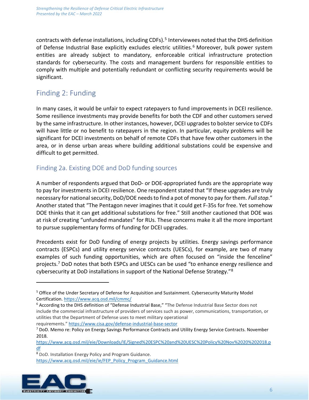contracts with defense installations, including CDFs).[5](#page-6-0) Interviewees noted that the DHS definition of Defense Industrial Base explicitly excludes electric utilities.<sup>[6](#page-6-1)</sup> Moreover, bulk power system entities are already subject to mandatory, enforceable critical infrastructure protection standards for cybersecurity. The costs and management burdens for responsible entities to comply with multiple and potentially redundant or conflicting security requirements would be significant.

### Finding 2: Funding

In many cases, it would be unfair to expect ratepayers to fund improvements in DCEI resilience. Some resilience investments may provide benefits for both the CDF and other customers served by the same infrastructure. In other instances, however, DCEI upgradesto bolster service to CDFs will have little or no benefit to ratepayers in the region. In particular, equity problems will be significant for DCEI investments on behalf of remote CDFs that have few other customers in the area, or in dense urban areas where building additional substations could be expensive and difficult to get permitted.

### Finding 2a. Existing DOE and DoD funding sources

A number of respondents argued that DoD- or DOE-appropriated funds are the appropriate way to pay for investments in DCEI resilience. One respondent stated that "If these upgrades are truly necessary for national security, DoD/DOE needs to find a pot of money to pay for them. *Full stop*." Another stated that "The Pentagon never imagines that it could get F-35s for free. Yet somehow DOE thinks that it can get additional substations for free." Still another cautioned that DOE was at risk of creating "unfunded mandates" for RUs. These concerns make it all the more important to pursue supplementary forms of funding for DCEI upgrades.

Precedents exist for DoD funding of energy projects by utilities. Energy savings performance contracts (ESPCs) and utility energy service contracts (UESCs), for example, are two of many examples of such funding opportunities, which are often focused on "inside the fenceline" projects.<sup>[7](#page-6-2)</sup> DoD notes that both ESPCs and UESCs can be used "to enhance energy resilience and cybersecurity at DoD installations in support of the National Defense Strategy."[8](#page-6-3)

<span id="page-6-3"></span><span id="page-6-2"></span><sup>8</sup> DoD. Installation Energy Policy and Program Guidance. [https://www.acq.osd.mil/eie/ie/FEP\\_Policy\\_Program\\_Guidance.html](https://www.acq.osd.mil/eie/ie/FEP_Policy_Program_Guidance.html)



<span id="page-6-0"></span><sup>5</sup> Office of the Under Secretary of Defense for Acquisition and Sustainment. Cybersecurity Maturity Model Certification.<https://www.acq.osd.mil/cmmc/>

<span id="page-6-1"></span><sup>6</sup> According to the DHS definition of "Defense Industrial Base," "The Defense Industrial Base Sector does not include the commercial infrastructure of providers of services such as power, communications, transportation, or utilities that the Department of Defense uses to meet military operational requirements."<https://www.cisa.gov/defense-industrial-base-sector>

<sup>7</sup> DoD. Memo re: Policy on Energy Savings Performance Contracts and Utility Energy Service Contracts. November 2018.

[https://www.acq.osd.mil/eie/Downloads/IE/Signed%20ESPC%20and%20UESC%20Policy%20Nov%2020%202018.p](https://www.acq.osd.mil/eie/Downloads/IE/Signed%20ESPC%20and%20UESC%20Policy%20Nov%2020%202018.pdf) [df](https://www.acq.osd.mil/eie/Downloads/IE/Signed%20ESPC%20and%20UESC%20Policy%20Nov%2020%202018.pdf)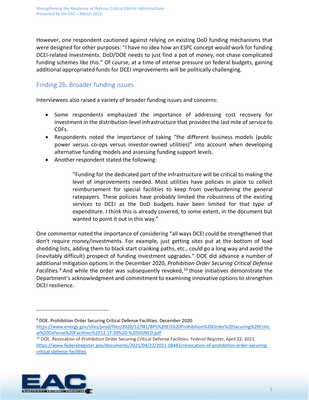However, one respondent cautioned against relying on existing DoD funding mechanisms that were designed for other purposes: "I have no idea how an ESPC concept would work for funding DCEI-related investments. DoD/DOE needs to just find a pot of money, not chase complicated funding schemes like this." Of course, at a time of intense pressure on federal budgets, gaining additional appropriated funds for DCEI improvements will be politically challenging.

### Finding 2b. Broader funding issues

Interviewees also raised a variety of broader funding issues and concerns:

- Some respondents emphasized the importance of addressing cost recovery for investment in the distribution-level infrastructure that provides the last mile of service to CDFs.
- Respondents noted the importance of taking "the different business models (public power versus co-ops versus investor-owned utilities)" into account when developing alternative funding models and assessing funding support levels.
- Another respondent stated the following:

"Funding for the dedicated part of the infrastructure will be critical to making the level of improvements needed. Most utilities have policies in place to collect reimbursement for special facilities to keep from overburdening the general ratepayers. These policies have probably limited the robustness of the existing services to DCEI as the DoD budgets have been limited for that type of expenditure. I think this is already covered, to some extent, in the document but wanted to point it out in this way."

One commentor noted the importance of considering "all ways DCEI could be strengthened that don't require money/investments. For example, just getting sites put at the bottom of load shedding lists, adding them to black start cranking paths, etc., could go a long way and avoid the (inevitably difficult) prospect of funding investment upgrades." DOE did advance a number of additional mitigation options in the December 2020, *Prohibition Order Securing Critical Defense Facilities. [9](#page-7-0)* And while the order was subsequently revoked, [10](#page-7-1) those initiatives demonstrate the Department's acknowledgment and commitment to examining innovative options to strengthen DCEI resilience.

<span id="page-7-1"></span><span id="page-7-0"></span><sup>10</sup> DOE. Revocation of Prohibition Order Securing Critical Defense Facilities. *Federal Register*, April 22, 2021. [https://www.federalregister.gov/documents/2021/04/22/2021-08483/revocation-of-prohibition-order-securing](https://www.federalregister.gov/documents/2021/04/22/2021-08483/revocation-of-prohibition-order-securing-critical-defense-facilities)[critical-defense-facilities](https://www.federalregister.gov/documents/2021/04/22/2021-08483/revocation-of-prohibition-order-securing-critical-defense-facilities)



<sup>9</sup> DOE. Prohibition Order Securing Critical Defense Facilities. December 2020.

[https://www.energy.gov/sites/prod/files/2020/12/f81/BPS%20EO%20Prohibition%20Order%20Securing%20Critic](https://www.energy.gov/sites/prod/files/2020/12/f81/BPS%20EO%20Prohibition%20Order%20Securing%20Critical%20Defense%20Facilities%2012.17.20%20-%20SIGNED.pdf) [al%20Defense%20Facilities%2012.17.20%20-%20SIGNED.pdf](https://www.energy.gov/sites/prod/files/2020/12/f81/BPS%20EO%20Prohibition%20Order%20Securing%20Critical%20Defense%20Facilities%2012.17.20%20-%20SIGNED.pdf)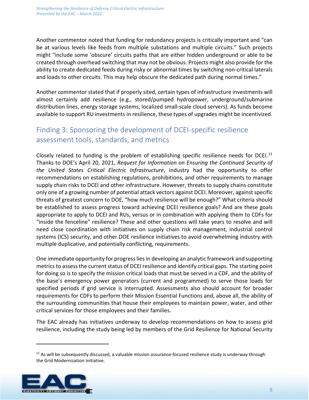Another commentor noted that funding for redundancy projects is critically important and "can be at various levels like feeds from multiple substations and multiple circuits." Such projects might "include some 'obscure' circuits paths that are either hidden underground or able to be created through overhead switching that may not be obvious. Projects might also provide for the ability to create dedicated feeds during risky or abnormal times by switching non-critical laterals and loads to other circuits. This may help obscure the dedicated path during normal times."

Another commentor stated that if properly sited, certain types of infrastructure investments will almost certainly add resilience (e.g., stored/pumped hydropower, underground/submarine distribution lines, energy storage systems, localized small-scale cloud servers). As funds become available to support RU investments in resilience, these types of upgrades might be incentivized.

# Finding 3: Sponsoring the development of DCEI-specific resilience assessment tools, standards, and metrics

Closely related to funding is the problem of establishing specific resilience needs for DCEI.<sup>[11](#page-8-0)</sup> Thanks to DOE's April 20, 2021, *Request for Information on Ensuring the Continued Security of the United States Critical Electric Infrastructure*, industry had the opportunity to offer recommendations on establishing regulations, prohibitions, and other requirements to manage supply chain risks to DCEI and other infrastructure. However, threats to supply chains constitute only one of a growing number of potential attack vectors against DCEI. Moreover, against specific threats of greatest concern to DOE, "how much resilience will be enough?" What criteria should be established to assess progress toward achieving DCEI resilience goals? And are these goals appropriate to apply to DCEI and RUs, versus or in combination with applying them to CDFs for "inside the fenceline" resilience? These and other questions will take years to resolve and will need close coordination with initiatives on supply chain risk management, industrial control systems (ICS) security, and other DOE resilience initiatives to avoid overwhelming industry with multiple duplicative, and potentially conflicting, requirements.

One immediate opportunity for progress lies in developing an analytic framework and supporting metrics to assess the current status of DCEI resilience and identify critical gaps. The starting point for doing so is to specify the mission critical loads that must be served in a CDF, and the ability of the base's emergency power generators (current and programmed) to serve those loads for specified periods if grid service is interrupted. Assessments also should account for broader requirements for CDFs to perform their Mission Essential Functions and, above all, the ability of the surrounding communities that house their employees to maintain power, water, and other critical services for those employees and their families.

The EAC already has initiatives underway to develop recommendations on how to assess grid resilience, including the study being led by members of the Grid Resilience for National Security

<span id="page-8-0"></span> $11$  As will be subsequently discussed, a valuable mission assurance-focused resilience study is underway through the Grid Modernization Initiative.

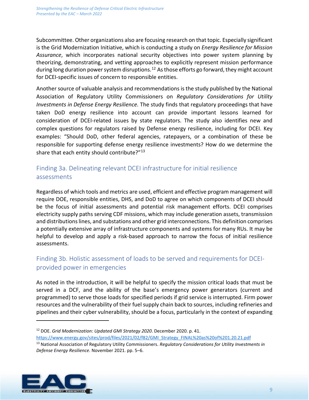Subcommittee. Other organizations also are focusing research on that topic. Especially significant is the Grid Modernization Initiative, which is conducting a study on *Energy Resilience for Mission Assurance*, which incorporates national security objectives into power system planning by theorizing, demonstrating, and vetting approaches to explicitly represent mission performance during long duration power system disruptions.<sup>[12](#page-9-0)</sup> As those efforts go forward, they might account for DCEI-specific issues of concern to responsible entities.

Another source of valuable analysis and recommendations is the study published by the National Association of Regulatory Utility Commissioners on *Regulatory Considerations for Utility Investments in Defense Energy Resilience.* The study finds that regulatory proceedings that have taken DoD energy resilience into account can provide important lessons learned for consideration of DCEI-related issues by state regulators. The study also identifies new and complex questions for regulators raised by Defense energy resilience, including for DCEI. Key examples: "Should DoD, other federal agencies, ratepayers, or a combination of these be responsible for supporting defense energy resilience investments? How do we determine the share that each entity should contribute?"<sup>[13](#page-9-1)</sup>

### Finding 3a. Delineating relevant DCEI infrastructure for initial resilience assessments

Regardless of which tools and metrics are used, efficient and effective program management will require DOE, responsible entities, DHS, and DoD to agree on which components of DCEI should be the focus of initial assessments and potential risk management efforts. DCEI comprises electricity supply paths serving CDF missions, which may include generation assets, transmission and distributions lines, and substations and other grid interconnections. This definition comprises a potentially extensive array of infrastructure components and systems for many RUs. It may be helpful to develop and apply a risk-based approach to narrow the focus of initial resilience assessments.

### Finding 3b. Holistic assessment of loads to be served and requirements for DCEIprovided power in emergencies

As noted in the introduction, it will be helpful to specify the mission critical loads that must be served in a DCF, and the ability of the base's emergency power generators (current and programmed) to serve those loads for specified periods if grid service is interrupted. Firm power resources and the vulnerability of their fuel supply chain back to sources, including refineries and pipelines and their cyber vulnerability, should be a focus, particularly in the context of expanding

<span id="page-9-1"></span><span id="page-9-0"></span><sup>13</sup> National Association of Regulatory Utility Commissioners. *Regulatory Considerations for Utility Investments in Defense Energy Resilience.* November 2021. pp. 5–6.



<sup>12</sup> DOE. *Grid Modernization: Updated GMI Strategy 2020*. December 2020. p. 41. [https://www.energy.gov/sites/prod/files/2021/02/f82/GMI\\_Strategy\\_FINAL%20as%20of%201.20.21.pdf](https://www.energy.gov/sites/prod/files/2021/02/f82/GMI_Strategy_FINAL%20as%20of%201.20.21.pdf)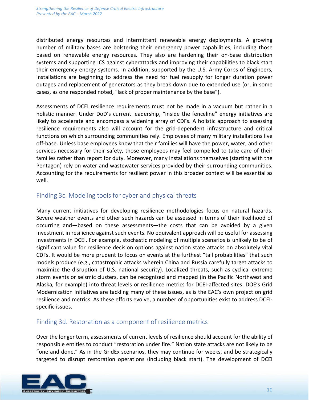distributed energy resources and intermittent renewable energy deployments. A growing number of military bases are bolstering their emergency power capabilities, including those based on renewable energy resources. They also are hardening their on-base distribution systems and supporting ICS against cyberattacks and improving their capabilities to black start their emergency energy systems. In addition, supported by the U.S. Army Corps of Engineers, installations are beginning to address the need for fuel resupply for longer duration power outages and replacement of generators as they break down due to extended use (or, in some cases, as one responded noted, "lack of proper maintenance by the base").

Assessments of DCEI resilience requirements must not be made in a vacuum but rather in a holistic manner. Under DoD's current leadership, "inside the fenceline" energy initiatives are likely to accelerate and encompass a widening array of CDFs. A holistic approach to assessing resilience requirements also will account for the grid-dependent infrastructure and critical functions on which surrounding communities rely. Employees of many military installations live off-base. Unless base employees know that their families will have the power, water, and other services necessary for their safety, those employees may feel compelled to take care of their families rather than report for duty. Moreover, many installations themselves (starting with the Pentagon) rely on water and wastewater services provided by their surrounding communities. Accounting for the requirements for resilient power in this broader context will be essential as well.

#### Finding 3c. Modeling tools for cyber and physical threats

Many current initiatives for developing resilience methodologies focus on natural hazards. Severe weather events and other such hazards can be assessed in terms of their likelihood of occurring and—based on these assessments—the costs that can be avoided by a given investment in resilience against such events. No equivalent approach will be useful for assessing investments in DCEI. For example, stochastic modeling of multiple scenarios is unlikely to be of significant value for resilience decision options against nation state attacks on absolutely vital CDFs. It would be more prudent to focus on events at the furthest "tail probabilities" that such models produce (e.g., catastrophic attacks wherein China and Russia carefully target attacks to maximize the disruption of U.S. national security). Localized threats, such as cyclical extreme storm events or seismic clusters, can be recognized and mapped (in the Pacific Northwest and Alaska, for example) into threat levels or resilience metrics for DCEI-affected sites. DOE's Grid Modernization Initiatives are tackling many of these issues, as is the EAC's own project on grid resilience and metrics. As these efforts evolve, a number of opportunities exist to address DCEIspecific issues.

#### Finding 3d. Restoration as a component of resilience metrics

Over the longer term, assessments of current levels of resilience should account for the ability of responsible entities to conduct "restoration under fire." Nation state attacks are not likely to be "one and done." As in the GridEx scenarios, they may continue for weeks, and be strategically targeted to disrupt restoration operations (including black start). The development of DCEI

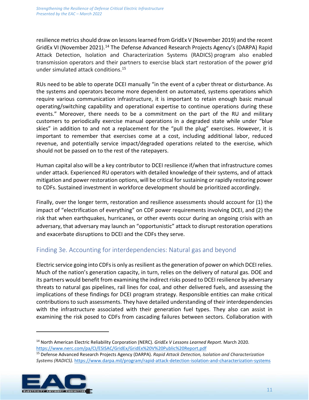resilience metrics should draw on lessons learned from GridEx V (November 2019) and the recent GridEx VI (November 2021).<sup>[14](#page-11-0)</sup> The Defense Advanced Research Projects Agency's (DARPA) Rapid Attack Detection, Isolation and Characterization Systems (RADICS) program also enabled transmission operators and their partners to exercise black start restoration of the power grid under simulated attack conditions.[15](#page-11-1)

RUs need to be able to operate DCEI manually "in the event of a cyber threat or disturbance. As the systems and operators become more dependent on automated, systems operations which require various communication infrastructure, it is important to retain enough basic manual operating/switching capability and operational expertise to continue operations during these events." Moreover, there needs to be a commitment on the part of the RU and military customers to periodically exercise manual operations in a degraded state while under "blue skies" in addition to and not a replacement for the "pull the plug" exercises. However, it is important to remember that exercises come at a cost, including additional labor, reduced revenue, and potentially service impact/degraded operations related to the exercise, which should not be passed on to the rest of the ratepayers.

Human capital also will be a key contributor to DCEI resilience if/when that infrastructure comes under attack. Experienced RU operators with detailed knowledge of their systems, and of attack mitigation and power restoration options, will be critical for sustaining or rapidly restoring power to CDFs. Sustained investment in workforce development should be prioritized accordingly.

Finally, over the longer term, restoration and resilience assessments should account for (1) the impact of "electrification of everything" on CDF power requirements involving DCEI, and (2) the risk that when earthquakes, hurricanes, or other events occur during an ongoing crisis with an adversary, that adversary may launch an "opportunistic" attack to disrupt restoration operations and exacerbate disruptions to DCEI and the CDFs they serve.

### Finding 3e. Accounting for interdependencies: Natural gas and beyond

Electric service going into CDFs is only as resilient as the generation of power on which DCEI relies. Much of the nation's generation capacity, in turn, relies on the delivery of natural gas. DOE and its partners would benefit from examining the indirect risks posed to DCEI resilience by adversary threats to natural gas pipelines, rail lines for coal, and other delivered fuels, and assessing the implications of these findings for DCEI program strategy. Responsible entities can make critical contributions to such assessments. They have detailed understanding of their interdependencies with the infrastructure associated with their generation fuel types. They also can assist in examining the risk posed to CDFs from cascading failures between sectors. Collaboration with

<span id="page-11-1"></span><span id="page-11-0"></span><sup>15</sup> Defense Advanced Research Projects Agency (DARPA). *Rapid Attack Detection, Isolation and Characterization Systems (RADICS).* <https://www.darpa.mil/program/rapid-attack-detection-isolation-and-characterization-systems>



<sup>14</sup> North American Electric Reliability Corporation (NERC). *GridEx V Lessons Learned Report*. March 2020. <https://www.nerc.com/pa/CI/ESISAC/GridEx/GridEx%20V%20Public%20Report.pdf>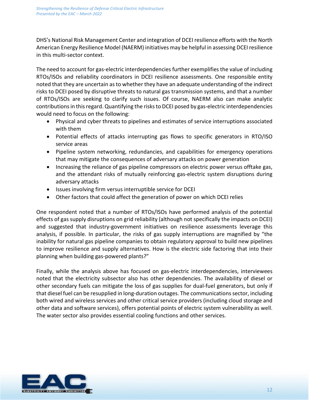DHS's National Risk Management Center and integration of DCEI resilience efforts with the North American Energy Resilience Model (NAERM) initiatives may be helpful in assessing DCEI resilience in this multi-sector context.

The need to account for gas-electric interdependencies further exemplifies the value of including RTOs/ISOs and reliability coordinators in DCEI resilience assessments. One responsible entity noted that they are uncertain as to whether they have an adequate understanding of the indirect risks to DCEI posed by disruptive threats to natural gas transmission systems, and that a number of RTOs/ISOs are seeking to clarify such issues. Of course, NAERM also can make analytic contributions in this regard. Quantifying the risks to DCEI posed by gas-electric interdependencies would need to focus on the following:

- Physical and cyber threats to pipelines and estimates of service interruptions associated with them
- Potential effects of attacks interrupting gas flows to specific generators in RTO/ISO service areas
- Pipeline system networking, redundancies, and capabilities for emergency operations that may mitigate the consequences of adversary attacks on power generation
- Increasing the reliance of gas pipeline compressors on electric power versus offtake gas, and the attendant risks of mutually reinforcing gas-electric system disruptions during adversary attacks
- Issues involving firm versus interruptible service for DCEI
- Other factors that could affect the generation of power on which DCEI relies

One respondent noted that a number of RTOs/ISOs have performed analysis of the potential effects of gas supply disruptions on grid reliability (although not specifically the impacts on DCEI) and suggested that industry-government initiatives on resilience assessments leverage this analysis, if possible. In particular, the risks of gas supply interruptions are magnified by "the inability for natural gas pipeline companies to obtain regulatory approval to build new pipelines to improve resilience and supply alternatives. How is the electric side factoring that into their planning when building gas-powered plants?"

Finally, while the analysis above has focused on gas-electric interdependencies, interviewees noted that the electricity subsector also has other dependencies. The availability of diesel or other secondary fuels can mitigate the loss of gas supplies for dual-fuel generators, but only if that diesel fuel can be resupplied in long-duration outages. The communications sector, including both wired and wireless services and other critical service providers (including cloud storage and other data and software services), offers potential points of electric system vulnerability as well. The water sector also provides essential cooling functions and other services.

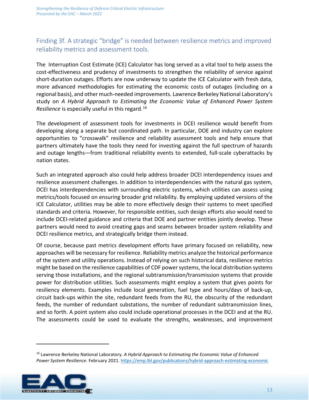### Finding 3f. A strategic "bridge" is needed between resilience metrics and improved reliability metrics and assessment tools.

The Interruption Cost Estimate (ICE) Calculator has long served as a vital tool to help assess the cost-effectiveness and prudency of investments to strengthen the reliability of service against short-duration outages. Efforts are now underway to update the ICE Calculator with fresh data, more advanced methodologies for estimating the economic costs of outages (including on a regional basis), and other much-needed improvements. Lawrence Berkeley National Laboratory's study on *[A Hybrid Approach to Estimating the Economic Value of Enhanced Power System](https://emp.lbl.gov/publications/hybrid-approach-estimating-economic)  [Resilience](https://emp.lbl.gov/publications/hybrid-approach-estimating-economic)* is especially useful in this regard.[16](#page-13-0)

The development of assessment tools for investments in DCEI resilience would benefit from developing along a separate but coordinated path. In particular, DOE and industry can explore opportunities to "crosswalk" resilience and reliability assessment tools and help ensure that partners ultimately have the tools they need for investing against the full spectrum of hazards and outage lengths—from traditional reliability events to extended, full-scale cyberattacks by nation states.

Such an integrated approach also could help address broader DCEI interdependency issues and resilience assessment challenges. In addition to interdependencies with the natural gas system, DCEI has interdependencies with surrounding electric systems, which utilities can assess using metrics/tools focused on ensuring broader grid reliability. By employing updated versions of the ICE Calculator, utilities may be able to more effectively design their systems to meet specified standards and criteria. However, for responsible entities, such design efforts also would need to include DCEI-related guidance and criteria that DOE and partner entities jointly develop. These partners would need to avoid creating gaps and seams between broader system reliability and DCEI resilience metrics, and strategically bridge them instead.

Of course, because past metrics development efforts have primary focused on reliability, new approaches will be necessary for resilience. Reliability metrics analyze the historical performance of the system and utility operations. Instead of relying on such historical data, resilience metrics might be based on the resilience capabilities of CDF power systems, the local distribution systems serving those installations, and the regional subtransmission/transmission systems that provide power for distribution utilities. Such assessments might employ a system that gives points for resiliency elements. Examples include local generation, fuel type and hours/days of back-up, circuit back-ups within the site, redundant feeds from the RU, the obscurity of the redundant feeds, the number of redundant substations, the number of redundant subtransmission lines, and so forth. A point system also could include operational processes in the DCEI and at the RU. The assessments could be used to evaluate the strengths, weaknesses, and improvement

<span id="page-13-0"></span><sup>16</sup> Lawrence Berkeley National Laboratory. *[A Hybrid Approach to Estimating the Economic Value of Enhanced](https://emp.lbl.gov/publications/hybrid-approach-estimating-economic)  [Power System Resilience](https://emp.lbl.gov/publications/hybrid-approach-estimating-economic)*. February 2021[. https://emp.lbl.gov/publications/hybrid-approach-estimating-economic](https://emp.lbl.gov/publications/hybrid-approach-estimating-economic)

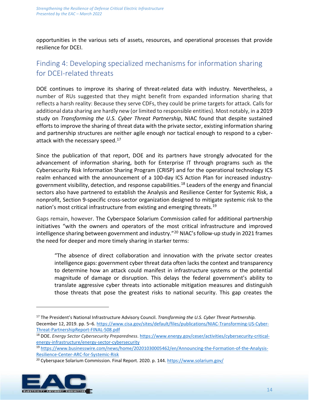opportunities in the various sets of assets, resources, and operational processes that provide resilience for DCEI.

# Finding 4: Developing specialized mechanisms for information sharing for DCEI-related threats

DOE continues to improve its sharing of threat-related data with industry. Nevertheless, a number of RUs suggested that they might benefit from expanded information sharing that reflects a harsh reality: Because they serve CDFs, they could be prime targets for attack. Calls for additional data sharing are hardly new (or limited to responsible entities). Most notably, in a 2019 study on *Transforming the U.S. Cyber Threat Partnership*, NIAC found that despite sustained efforts to improve the sharing of threat data with the private sector, existing information sharing and partnership structures are neither agile enough nor tactical enough to respond to a cyberattack with the necessary speed.<sup>17</sup>

Since the publication of that report, DOE and its partners have strongly advocated for the advancement of information sharing, both for Enterprise IT through programs such as the Cybersecurity Risk Information Sharing Program (CRISP) and for the operational technology ICS realm enhanced with the announcement of a 100-day ICS Action Plan for increased industrygovernment visibility, detection, and response capabilities. [18](#page-14-1) Leaders of the energy and financial sectors also have partnered to establish the Analysis and Resilience Center for Systemic Risk, a nonprofit, Section 9-specific cross-sector organization designed to mitigate systemic risk to the nation's most critical infrastructure from existing and emerging threats.<sup>[19](#page-14-2)</sup>

Gaps remain, however. The Cyberspace Solarium Commission called for additional partnership initiatives "with the owners and operators of the most critical infrastructure and improved intelligence sharing between government and industry."<sup>[20](#page-14-3)</sup> NIAC's follow-up study in 2021 frames the need for deeper and more timely sharing in starker terms:

"The absence of direct collaboration and innovation with the private sector creates intelligence gaps: government cyber threat data often lacks the context and transparency to determine how an attack could manifest in infrastructure systems or the potential magnitude of damage or disruption. This delays the federal government's ability to translate aggressive cyber threats into actionable mitigation measures and distinguish those threats that pose the greatest risks to national security. This gap creates the

<span id="page-14-3"></span><span id="page-14-2"></span><span id="page-14-1"></span><sup>&</sup>lt;sup>20</sup> Cyberspace Solarium Commission. Final Report. 2020. p. 144[. https://www.solarium.gov/](https://www.solarium.gov/)



<span id="page-14-0"></span><sup>17</sup> The President's National Infrastructure Advisory Council. *Transforming the U.S. Cyber Threat Partnership.*  December 12, 2019. pp. 5–6[. https://www.cisa.gov/sites/default/files/publications/NIAC-Transforming-US-Cyber-](https://www.cisa.gov/sites/default/files/publications/NIAC-Transforming-US-Cyber-Threat-PartnershipReport-FINAL-508.pdf)[Threat-PartnershipReport-FINAL-508.pdf](https://www.cisa.gov/sites/default/files/publications/NIAC-Transforming-US-Cyber-Threat-PartnershipReport-FINAL-508.pdf)

<sup>18</sup> DOE. *Energy Sector Cybersecurity Preparedness*. [https://www.energy.gov/ceser/activities/cybersecurity-critical](https://www.energy.gov/ceser/activities/cybersecurity-critical-energy-infrastructure/energy-sector-cybersecurity)[energy-infrastructure/energy-sector-cybersecurity](https://www.energy.gov/ceser/activities/cybersecurity-critical-energy-infrastructure/energy-sector-cybersecurity)

<sup>19</sup> [https://www.businesswire.com/news/home/20201030005462/en/Announcing-the-Formation-of-the-Analysis-](https://www.businesswire.com/news/home/20201030005462/en/Announcing-the-Formation-of-the-Analysis-Resilience-Center-ARC-for-Systemic-Risk)[Resilience-Center-ARC-for-Systemic-Risk](https://www.businesswire.com/news/home/20201030005462/en/Announcing-the-Formation-of-the-Analysis-Resilience-Center-ARC-for-Systemic-Risk)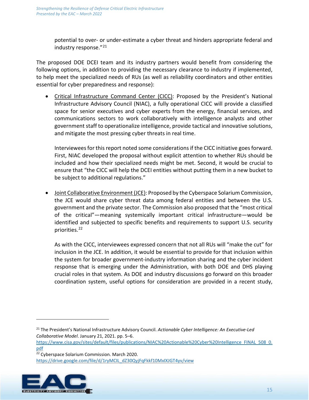potential to over- or under-estimate a cyber threat and hinders appropriate federal and industry response."[21](#page-15-0)

The proposed DOE DCEI team and its industry partners would benefit from considering the following options, in addition to providing the necessary clearance to industry if implemented, to help meet the specialized needs of RUs (as well as reliability coordinators and other entities essential for cyber preparedness and response):

• Critical Infrastructure Command Center (CICC): Proposed by the President's National Infrastructure Advisory Council (NIAC), a fully operational CICC will provide a classified space for senior executives and cyber experts from the energy, financial services, and communications sectors to work collaboratively with intelligence analysts and other government staff to operationalize intelligence, provide tactical and innovative solutions, and mitigate the most pressing cyber threats in real time.

Interviewees for this report noted some considerationsif the CICC initiative goesforward. First, NIAC developed the proposal without explicit attention to whether RUs should be included and how their specialized needs might be met. Second, it would be crucial to ensure that "the CICC will help the DCEI entities without putting them in a new bucket to be subject to additional regulations."

• Joint Collaborative Environment (JCE): Proposed by the Cyberspace Solarium Commission, the JCE would share cyber threat data among federal entities and between the U.S. government and the private sector. The Commission also proposed that the "most critical of the critical"—meaning systemically important critical infrastructure—would be identified and subjected to specific benefits and requirements to support U.S. security priorities. [22](#page-15-1) 

As with the CICC, interviewees expressed concern that not all RUs will "make the cut" for inclusion in the JCE. In addition, it would be essential to provide for that inclusion within the system for broader government-industry information sharing and the cyber incident response that is emerging under the Administration, with both DOE and DHS playing crucial roles in that system. As DOE and industry discussions go forward on this broader coordination system, useful options for consideration are provided in a recent study,

<span id="page-15-1"></span><span id="page-15-0"></span><sup>&</sup>lt;sup>22</sup> Cyberspace Solarium Commission. March 2020. [https://drive.google.com/file/d/1ryMCIL\\_dZ30QyjFqFkkf10MxIXJGT4yv/view](https://drive.google.com/file/d/1ryMCIL_dZ30QyjFqFkkf10MxIXJGT4yv/view) 



<sup>21</sup> The President's National Infrastructure Advisory Council. *Actionable Cyber Intelligence: An Executive-Led Collaborative Model*. January 21, 2021. pp. 5–6.

[https://www.cisa.gov/sites/default/files/publications/NIAC%20Actionable%20Cyber%20Intelligence\\_FINAL\\_508\\_0.](https://www.cisa.gov/sites/default/files/publications/NIAC%20Actionable%20Cyber%20Intelligence_FINAL_508_0.pdf) [pdf](https://www.cisa.gov/sites/default/files/publications/NIAC%20Actionable%20Cyber%20Intelligence_FINAL_508_0.pdf)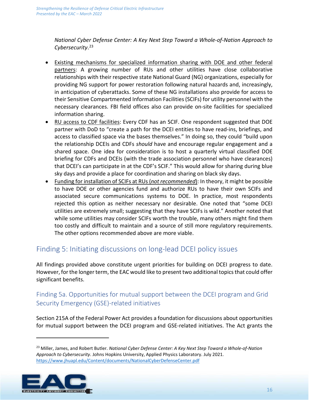*National Cyber Defense Center: A Key Next Step Toward a Whole-of-Nation Approach to Cybersecurity*. [23](#page-16-0)

- Existing mechanisms for specialized information sharing with DOE and other federal partners: A growing number of RUs and other utilities have close collaborative relationships with their respective state National Guard (NG) organizations, especially for providing NG support for power restoration following natural hazards and, increasingly, in anticipation of cyberattacks. Some of these NG installations also provide for access to their Sensitive Compartmented Information Facilities (SCIFs) for utility personnel with the necessary clearances. FBI field offices also can provide on-site facilities for specialized information sharing.
- RU access to CDF facilities: Every CDF has an SCIF. One respondent suggested that DOE partner with DoD to "create a path for the DCEI entities to have read-ins, briefings, and access to classified space via the bases themselves." In doing so, they could "build upon the relationship DCEIs and CDFs *should* have and encourage regular engagement and a shared space. One idea for consideration is to host a quarterly virtual classified DOE briefing for CDFs and DCEIs (with the trade association personnel who have clearances) that DCEI's can participate in at the CDF's SCIF." This would allow for sharing during blue sky days and provide a place for coordination and sharing on black sky days.
- Funding for installation of SCIFs at RUs (*not recommended*): In theory, it might be possible to have DOE or other agencies fund and authorize RUs to have their own SCIFs and associated secure communications systems to DOE. In practice, most respondents rejected this option as neither necessary nor desirable. One noted that "some DCEI utilities are extremely small; suggesting that they have SCIFs is wild." Another noted that while some utilities may consider SCIFs worth the trouble, many others might find them too costly and difficult to maintain and a source of still more regulatory requirements. The other options recommended above are more viable.

### Finding 5: Initiating discussions on long-lead DCEI policy issues

All findings provided above constitute urgent priorities for building on DCEI progress to date. However, for the longer term, the EAC would like to present two additional topics that could offer significant benefits.

### Finding 5a. Opportunities for mutual support between the DCEI program and Grid Security Emergency (GSE)-related initiatives

Section 215A of the Federal Power Act provides a foundation for discussions about opportunities for mutual support between the DCEI program and GSE-related initiatives. The Act grants the

<span id="page-16-0"></span><sup>23</sup> Miller, James, and Robert Butler. *National Cyber Defense Center: A Key Next Step Toward a Whole-of-Nation Approach to Cybersecurity*. Johns Hopkins University, Applied Physics Laboratory. July 2021. <https://www.jhuapl.edu/Content/documents/NationalCyberDefenseCenter.pdf>

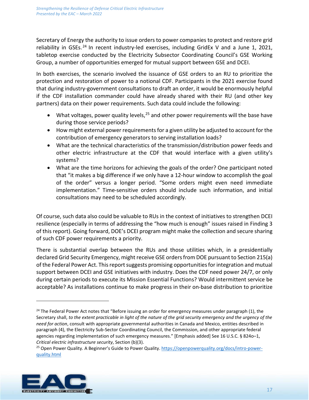Secretary of Energy the authority to issue orders to power companies to protect and restore grid reliability in GSEs.<sup>[24](#page-17-0)</sup> In recent industry-led exercises, including GridEx V and a June 1, 2021, tabletop exercise conducted by the Electricity Subsector Coordinating Council's GSE Working Group, a number of opportunities emerged for mutual support between GSE and DCEI.

In both exercises, the scenario involved the issuance of GSE orders to an RU to prioritize the protection and restoration of power to a notional CDF. Participants in the 2021 exercise found that during industry-government consultations to draft an order, it would be enormously helpful if the CDF installation commander could have already shared with their RU (and other key partners) data on their power requirements. Such data could include the following:

- What voltages, power quality levels,<sup>[25](#page-17-1)</sup> and other power requirements will the base have during those service periods?
- How might external power requirements for a given utility be adjusted to account for the contribution of emergency generators to serving installation loads?
- What are the technical characteristics of the transmission/distribution power feeds and other electric infrastructure at the CDF that would interface with a given utility's systems?
- What are the time horizons for achieving the goals of the order? One participant noted that "it makes a big difference if we only have a 12-hour window to accomplish the goal of the order" versus a longer period. "Some orders might even need immediate implementation." Time-sensitive orders should include such information, and initial consultations may need to be scheduled accordingly.

Of course, such data also could be valuable to RUs in the context of initiatives to strengthen DCEI resilience (especially in terms of addressing the "how much is enough" issues raised in Finding 3 of this report). Going forward, DOE's DCEI program might make the collection and secure sharing of such CDF power requirements a priority.

There is substantial overlap between the RUs and those utilities which, in a presidentially declared Grid Security Emergency, might receive GSE orders from DOE pursuant to Section 215(a) of the Federal Power Act. This report suggests promising opportunities for integration and mutual support between DCEI and GSE initiatives with industry. Does the CDF need power 24/7, or only during certain periods to execute its Mission Essential Functions? Would intermittent service be acceptable? As installations continue to make progress in their on-base distribution to prioritize

<span id="page-17-1"></span><sup>&</sup>lt;sup>25</sup> Open Power Quality. A Beginner's Guide to Power Quality. [https://openpowerquality.org/docs/intro-power](https://openpowerquality.org/docs/intro-power-quality.html)[quality.html](https://openpowerquality.org/docs/intro-power-quality.html)



<span id="page-17-0"></span><sup>&</sup>lt;sup>24</sup> The Federal Power Act notes that "Before issuing an order for emergency measures under paragraph (1), the Secretary shall, *to the extent practicable in light of the nature of the grid security emergency and the urgency of the need for action*, consult with appropriate governmental authorities in Canada and Mexico, entities described in paragraph (4), the Electricity Sub-Sector Coordinating Council, the Commission, and other appropriate federal agencies regarding implementation of such emergency measures." [Emphasis added] See 16 U.S.C. § 824o–1, *Critical electric infrastructure security*, Section (b)(3).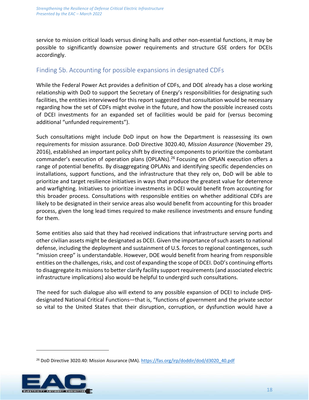service to mission critical loads versus dining halls and other non-essential functions, it may be possible to significantly downsize power requirements and structure GSE orders for DCEIs accordingly.

### Finding 5b. Accounting for possible expansions in designated CDFs

While the Federal Power Act provides a definition of CDFs, and DOE already has a close working relationship with DoD to support the Secretary of Energy's responsibilities for designating such facilities, the entities interviewed for this report suggested that consultation would be necessary regarding how the set of CDFs might evolve in the future, and how the possible increased costs of DCEI investments for an expanded set of facilities would be paid for (versus becoming additional "unfunded requirements").

Such consultations might include DoD input on how the Department is reassessing its own requirements for mission assurance. DoD Directive 3020.40, *Mission Assurance* (November 29, 2016), established an important policy shift by directing components to prioritize the combatant commander's execution of operation plans (OPLANs).<sup>[26](#page-18-0)</sup> Focusing on OPLAN execution offers a range of potential benefits. By disaggregating OPLANs and identifying specific dependencies on installations, support functions, and the infrastructure that they rely on, DoD will be able to prioritize and target resilience initiatives in ways that produce the greatest value for deterrence and warfighting. Initiatives to prioritize investments in DCEI would benefit from accounting for this broader process. Consultations with responsible entities on whether additional CDFs are likely to be designated in their service areas also would benefit from accounting for this broader process, given the long lead times required to make resilience investments and ensure funding for them.

Some entities also said that they had received indications that infrastructure serving ports and other civilian assets might be designated as DCEI. Given the importance of such assets to national defense, including the deployment and sustainment of U.S. forces to regional contingences, such "mission creep" is understandable. However, DOE would benefit from hearing from responsible entities on the challenges, risks, and cost of expanding the scope of DCEI. DoD's continuing efforts to disaggregate its missions to better clarify facility support requirements (and associated electric infrastructure implications) also would be helpful to undergird such consultations.

The need for such dialogue also will extend to any possible expansion of DCEI to include DHSdesignated National Critical Functions—that is, "functions of government and the private sector so vital to the United States that their disruption, corruption, or dysfunction would have a

<span id="page-18-0"></span><sup>&</sup>lt;sup>26</sup> DoD Directive 3020.40: Mission Assurance (MA). [https://fas.org/irp/doddir/dod/d3020\\_40.pdf](https://fas.org/irp/doddir/dod/d3020_40.pdf)

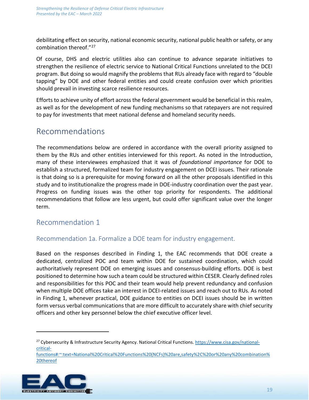debilitating effect on security, national economic security, national public health or safety, or any combination thereof."[27](#page-19-0)

Of course, DHS and electric utilities also can continue to advance separate initiatives to strengthen the resilience of electric service to National Critical Functions unrelated to the DCEI program. But doing so would magnify the problems that RUs already face with regard to "double tapping" by DOE and other federal entities and could create confusion over which priorities should prevail in investing scarce resilience resources.

Efforts to achieve unity of effort across the federal government would be beneficial in this realm, as well as for the development of new funding mechanisms so that ratepayers are not required to pay for investments that meet national defense and homeland security needs.

# Recommendations

The recommendations below are ordered in accordance with the overall priority assigned to them by the RUs and other entities interviewed for this report. As noted in the Introduction, many of these interviewees emphasized that it was of *foundational importance* for DOE to establish a structured, formalized team for industry engagement on DCEI issues. Their rationale is that doing so is a prerequisite for moving forward on all the other proposals identified in this study and to institutionalize the progress made in DOE-industry coordination over the past year. Progress on funding issues was the other top priority for respondents. The additional recommendations that follow are less urgent, but could offer significant value over the longer term.

### Recommendation 1

### Recommendation 1a. Formalize a DOE team for industry engagement.

Based on the responses described in Finding 1, the EAC recommends that DOE create a dedicated, centralized POC and team within DOE for sustained coordination, which could authoritatively represent DOE on emerging issues and consensus-building efforts. DOE is best positioned to determine how such a team could be structured within CESER. Clearly defined roles and responsibilities for this POC and their team would help prevent redundancy and confusion when multiple DOE offices take an interest in DCEI-related issues and reach out to RUs. As noted in Finding 1, whenever practical, DOE guidance to entities on DCEI issues should be in written form versus verbal communications that are more difficult to accurately share with chief security officers and other key personnel below the chief executive officer level.

<span id="page-19-0"></span>[functions#:~:text=National%20Critical%20Functions%20\(NCFs\)%20are,safety%2C%20or%20any%20combination%](https://www.cisa.gov/national-critical-functions#:%7E:text=National%20Critical%20Functions%20(NCFs)%20are,safety%2C%20or%20any%20combination%20thereof) [20thereof](https://www.cisa.gov/national-critical-functions#:%7E:text=National%20Critical%20Functions%20(NCFs)%20are,safety%2C%20or%20any%20combination%20thereof)



<sup>27</sup> Cybersecurity & Infrastructure Security Agency. National Critical Functions. [https://www.cisa.gov/national](https://www.cisa.gov/national-critical-functions#:%7E:text=National%20Critical%20Functions%20(NCFs)%20are,safety%2C%20or%20any%20combination%20thereof)[critical-](https://www.cisa.gov/national-critical-functions#:%7E:text=National%20Critical%20Functions%20(NCFs)%20are,safety%2C%20or%20any%20combination%20thereof)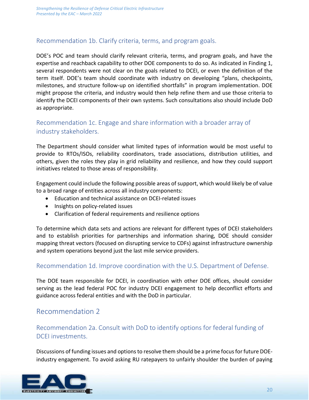#### Recommendation 1b. Clarify criteria, terms, and program goals.

DOE's POC and team should clarify relevant criteria, terms, and program goals, and have the expertise and reachback capability to other DOE components to do so. As indicated in Finding 1, several respondents were not clear on the goals related to DCEI, or even the definition of the term itself. DOE's team should coordinate with industry on developing "plans, checkpoints, milestones, and structure follow-up on identified shortfalls" in program implementation. DOE might propose the criteria, and industry would then help refine them and use those criteria to identify the DCEI components of their own systems. Such consultations also should include DoD as appropriate.

### Recommendation 1c. Engage and share information with a broader array of industry stakeholders.

The Department should consider what limited types of information would be most useful to provide to RTOs/ISOs, reliability coordinators, trade associations, distribution utilities, and others, given the roles they play in grid reliability and resilience, and how they could support initiatives related to those areas of responsibility.

Engagement could include the following possible areas of support, which would likely be of value to a broad range of entities across all industry components:

- Education and technical assistance on DCEI-related issues
- Insights on policy-related issues
- Clarification of federal requirements and resilience options

To determine which data sets and actions are relevant for different types of DCEI stakeholders and to establish priorities for partnerships and information sharing, DOE should consider mapping threat vectors (focused on disrupting service to CDFs) against infrastructure ownership and system operations beyond just the last mile service providers.

### Recommendation 1d. Improve coordination with the U.S. Department of Defense.

The DOE team responsible for DCEI, in coordination with other DOE offices, should consider serving as the lead federal POC for industry DCEI engagement to help deconflict efforts and guidance across federal entities and with the DoD in particular.

### Recommendation 2

### Recommendation 2a. Consult with DoD to identify options for federal funding of DCEI investments.

Discussions of funding issues and options to resolve them should be a prime focus for future DOEindustry engagement. To avoid asking RU ratepayers to unfairly shoulder the burden of paying

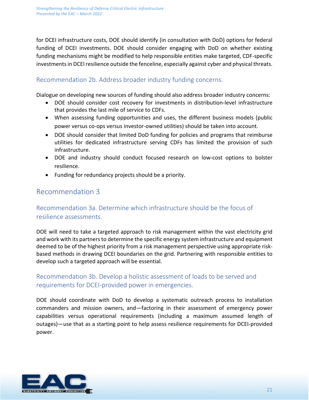for DCEI infrastructure costs, DOE should identify (in consultation with DoD) options for federal funding of DCEI investments. DOE should consider engaging with DoD on whether existing funding mechanisms might be modified to help responsible entities make targeted, CDF-specific investments in DCEI resilience outside the fenceline, especially against cyber and physical threats.

#### Recommendation 2b. Address broader industry funding concerns.

Dialogue on developing new sources of funding should also address broader industry concerns:

- DOE should consider cost recovery for investments in distribution-level infrastructure that provides the last mile of service to CDFs.
- When assessing funding opportunities and uses, the different business models (public power versus co-ops versus investor-owned utilities) should be taken into account.
- DOE should consider that limited DoD funding for policies and programs that reimburse utilities for dedicated infrastructure serving CDFs has limited the provision of such infrastructure.
- DOE and industry should conduct focused research on low-cost options to bolster resilience.
- Funding for redundancy projects should be a priority.

### Recommendation 3

### Recommendation 3a. Determine which infrastructure should be the focus of resilience assessments.

DOE will need to take a targeted approach to risk management within the vast electricity grid and work with its partners to determine the specific energy system infrastructure and equipment deemed to be of the highest priority from a risk management perspective using appropriate riskbased methods in drawing DCEI boundaries on the grid. Partnering with responsible entities to develop such a targeted approach will be essential.

### Recommendation 3b. Develop a holistic assessment of loads to be served and requirements for DCEI-provided power in emergencies.

DOE should coordinate with DoD to develop a systematic outreach process to installation commanders and mission owners, and—factoring in their assessment of emergency power capabilities versus operational requirements (including a maximum assumed length of outages)—use that as a starting point to help assess resilience requirements for DCEI-provided power.

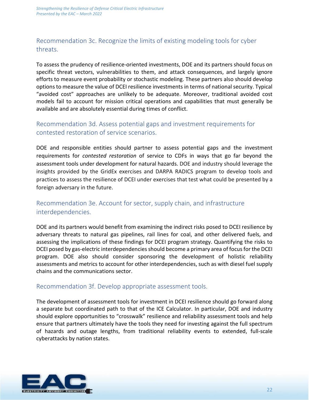### Recommendation 3c. Recognize the limits of existing modeling tools for cyber threats.

To assess the prudency of resilience-oriented investments, DOE and its partners should focus on specific threat vectors, vulnerabilities to them, and attack consequences, and largely ignore efforts to measure event probability or stochastic modeling. These partners also should develop options to measure the value of DCEI resilience investments in terms of national security. Typical "avoided cost" approaches are unlikely to be adequate. Moreover, traditional avoided cost models fail to account for mission critical operations and capabilities that must generally be available and are absolutely essential during times of conflict.

### Recommendation 3d. Assess potential gaps and investment requirements for contested restoration of service scenarios.

DOE and responsible entities should partner to assess potential gaps and the investment requirements for *contested restoration* of service to CDFs in ways that go far beyond the assessment tools under development for natural hazards. DOE and industry should leverage the insights provided by the GridEx exercises and DARPA RADICS program to develop tools and practices to assess the resilience of DCEI under exercises that test what could be presented by a foreign adversary in the future.

### Recommendation 3e. Account for sector, supply chain, and infrastructure interdependencies.

DOE and its partners would benefit from examining the indirect risks posed to DCEI resilience by adversary threats to natural gas pipelines, rail lines for coal, and other delivered fuels, and assessing the implications of these findings for DCEI program strategy. Quantifying the risks to DCEI posed by gas-electric interdependencies should become a primary area of focus for the DCEI program. DOE also should consider sponsoring the development of holistic reliability assessments and metrics to account for other interdependencies, such as with diesel fuel supply chains and the communications sector.

#### Recommendation 3f. Develop appropriate assessment tools.

The development of assessment tools for investment in DCEI resilience should go forward along a separate but coordinated path to that of the ICE Calculator. In particular, DOE and industry should explore opportunities to "crosswalk" resilience and reliability assessment tools and help ensure that partners ultimately have the tools they need for investing against the full spectrum of hazards and outage lengths, from traditional reliability events to extended, full-scale cyberattacks by nation states.

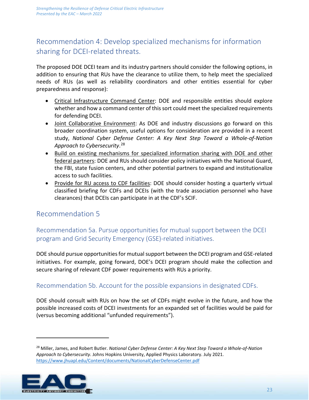# Recommendation 4: Develop specialized mechanisms for information sharing for DCEI-related threats.

The proposed DOE DCEI team and its industry partners should consider the following options, in addition to ensuring that RUs have the clearance to utilize them, to help meet the specialized needs of RUs (as well as reliability coordinators and other entities essential for cyber preparedness and response):

- Critical Infrastructure Command Center: DOE and responsible entities should explore whether and how a command center of this sort could meet the specialized requirements for defending DCEI.
- Joint Collaborative Environment: As DOE and industry discussions go forward on this broader coordination system, useful options for consideration are provided in a recent study, *National Cyber Defense Center: A Key Next Step Toward a Whole-of-Nation Approach to Cybersecurity*. [28](#page-23-0)
- Build on existing mechanisms for specialized information sharing with DOE and other federal partners: DOE and RUs should consider policy initiatives with the National Guard, the FBI, state fusion centers, and other potential partners to expand and institutionalize access to such facilities.
- Provide for RU access to CDF facilities: DOE should consider hosting a quarterly virtual classified briefing for CDFs and DCEIs (with the trade association personnel who have clearances) that DCEIs can participate in at the CDF's SCIF.

### Recommendation 5

Recommendation 5a. Pursue opportunities for mutual support between the DCEI program and Grid Security Emergency (GSE)-related initiatives.

DOE should pursue opportunities for mutual support between the DCEI program and GSE-related initiatives. For example, going forward, DOE's DCEI program should make the collection and secure sharing of relevant CDF power requirements with RUs a priority.

### Recommendation 5b. Account for the possible expansions in designated CDFs.

DOE should consult with RUs on how the set of CDFs might evolve in the future, and how the possible increased costs of DCEI investments for an expanded set of facilities would be paid for (versus becoming additional "unfunded requirements").

<span id="page-23-0"></span><sup>28</sup> Miller, James, and Robert Butler. *National Cyber Defense Center: A Key Next Step Toward a Whole-of-Nation Approach to Cybersecurity*. Johns Hopkins University, Applied Physics Laboratory. July 2021. <https://www.jhuapl.edu/Content/documents/NationalCyberDefenseCenter.pdf>